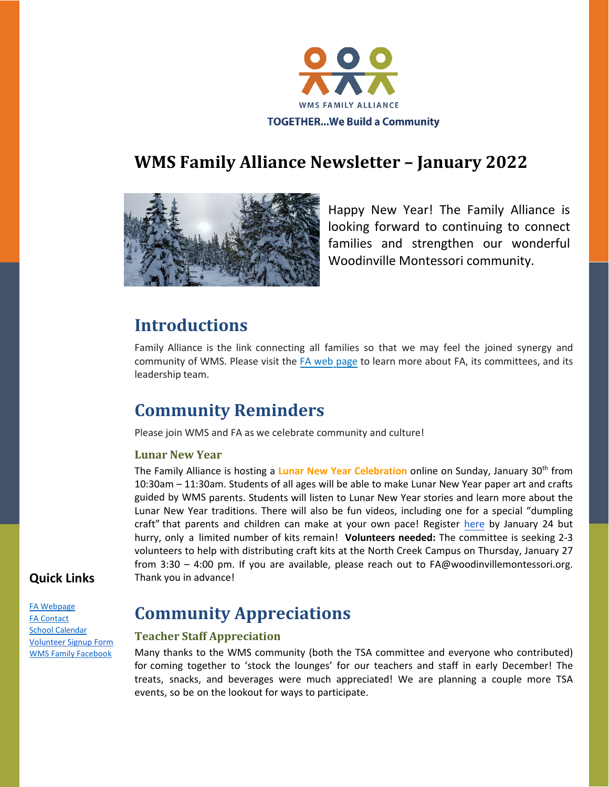

# **WMS Family Alliance Newsletter – January 2022**



Happy New Year! The Family Alliance is looking forward to continuing to connect families and strengthen our wonderful Woodinville Montessori community.

### **Introductions**

Family Alliance is the link connecting all families so that we may feel the joined synergy and community of WMS. Please visit the [FA web](https://www.woodinvillemontessori.org/wms-families/fa-committees/) [page](https://www.woodinvillemontessori.org/fa-committees/) to learn more about FA, its committees, and its leadership team.

# **Community Reminders**

Please join WMS and FA as we celebrate community and culture!

#### **Lunar New Year**

The Family Alliance is hosting a **Lunar New Year Celebration** online on Sunday, January 30th from 10:30am – 11:30am. Students of all ages will be able to make Lunar New Year paper art and crafts guided by WMS parents. Students will listen to Lunar New Year stories and learn more about the Lunar New Year traditions. There will also be fun videos, including one for a special "dumpling craft" that parents and children can make at your own pace! Register [here](https://linkprotect.cudasvc.com/url?a=https%3a%2f%2fforms.office.com%2fr%2feuJNgPYkGL&c=E,1,T6icX3fCi3oXytf29lshQ9Y-FbcHOE2WPVaNRor9RBK79d0KKZQScM1na3iu0tC6Q3c7s1-IkKdFaN7Lteeplgk7D956aIf0mtAmuRlyyp_gH2Ckly0,&typo=1) by January 24 but hurry, only a limited number of kits remain! **Volunteers needed:** The committee is seeking 2-3 volunteers to help with distributing craft kits at the North Creek Campus on Thursday, January 27 from 3:30 – 4:00 pm. If you are available, please reach out to FA@woodinvillemontessori.org. Thank you in advance!

### **Quick Links**

[FA Webpage](https://www.woodinvillemontessori.org/wms-families/fa-committees/)  [FA Contact](mailto:fa@woodinvillemontessori.org)  School [Calendar](https://www.woodinvillemontessori.org/calendar/) [Volunteer Signup Form](https://www.signupgenius.com/go/8050B48AEA823AAFA7-wmsvolunteer1) [WMS Family Facebook](https://www.facebook.com/groups/130215807626550/)

### **Community Appreciations**

#### **Teacher Staff Appreciation**

Many thanks to the WMS community (both the TSA committee and everyone who contributed) for coming together to 'stock the lounges' for our teachers and staff in early December! The treats, snacks, and beverages were much appreciated! We are planning a couple more TSA events, so be on the lookout for ways to participate.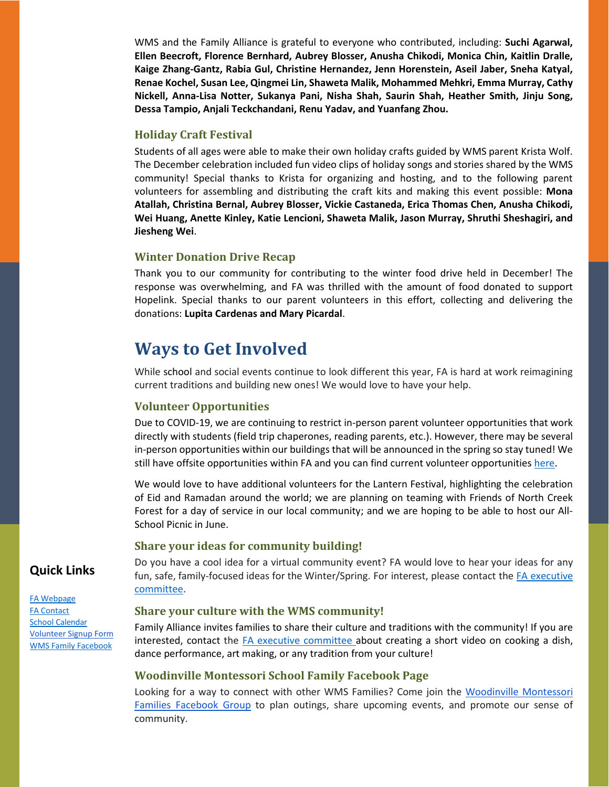WMS and the Family Alliance is grateful to everyone who contributed, including: **Suchi Agarwal, Ellen Beecroft, Florence Bernhard, Aubrey Blosser, Anusha Chikodi, Monica Chin, Kaitlin Dralle, Kaige Zhang-Gantz, Rabia Gul, Christine Hernandez, Jenn Horenstein, Aseil Jaber, Sneha Katyal, Renae Kochel, Susan Lee, Qingmei Lin, Shaweta Malik, Mohammed Mehkri, Emma Murray, Cathy Nickell, Anna-Lisa Notter, Sukanya Pani, Nisha Shah, Saurin Shah, Heather Smith, Jinju Song, Dessa Tampio, Anjali Teckchandani, Renu Yadav, and Yuanfang Zhou.**

#### **Holiday Craft Festival**

Students of all ages were able to make their own holiday crafts guided by WMS parent Krista Wolf. The December celebration included fun video clips of holiday songs and stories shared by the WMS community! Special thanks to Krista for organizing and hosting, and to the following parent volunteers for assembling and distributing the craft kits and making this event possible: **Mona Atallah, Christina Bernal, Aubrey Blosser, Vickie Castaneda, Erica Thomas Chen, Anusha Chikodi, Wei Huang, Anette Kinley, Katie Lencioni, Shaweta Malik, Jason Murray, Shruthi Sheshagiri, and Jiesheng Wei**.

#### **Winter Donation Drive Recap**

Thank you to our community for contributing to the winter food drive held in December! The response was overwhelming, and FA was thrilled with the amount of food donated to support Hopelink. Special thanks to our parent volunteers in this effort, collecting and delivering the donations: **Lupita Cardenas and Mary Picardal**.

### **Ways to Get Involved**

While school and social events continue to look different this year, FA is hard at work reimagining current traditions and building new ones! We would love to have your help.

#### **Volunteer Opportunities**

Due to COVID-19, we are continuing to restrict in-person parent volunteer opportunities that work directly with students (field trip chaperones, reading parents, etc.). However, there may be several in-person opportunities within our buildings that will be announced in the spring so stay tuned! We still have offsite opportunities within FA and you can find current volunteer opportunities [here.](https://www.signupgenius.com/go/8050B48AEA823AAFA7-wmsvolunteer1)

We would love to have additional volunteers for the Lantern Festival, highlighting the celebration of Eid and Ramadan around the world; we are planning on teaming with Friends of North Creek Forest for a day of service in our local community; and we are hoping to be able to host our All-School Picnic in June.

#### **Share your ideas for community building!**

Do you have a cool idea for a virtual community event? FA would love to hear your ideas for any fun, safe, family-focused ideas for the Winter/Spring. For interest, please contact the [FA executive](mailto:fa@woodinvillemontessori.org?subject=WMS%20Community%20Building)  [committee.](mailto:fa@woodinvillemontessori.org?subject=WMS%20Community%20Building)

#### **Share your culture with the WMS community!**

Family Alliance invites families to share their culture and traditions with the community! If you are interested, contact the [FA executive committee](mailto:fa@woodinvillemontessori.org?subject=WMS%20Sharing%20Culture) about creating a short video on cooking a dish, dance performance, art making, or any tradition from your culture!

#### **Woodinville Montessori School Family Facebook Page**

Looking for a way to connect with other WMS Families? Come join the [Woodinville Montessori](https://www.facebook.com/groups/130215807626550/) [Families Facebook Group](https://www.facebook.com/groups/130215807626550/) to plan outings, share upcoming events, and promote our sense of community.

### **Quick Links**

[FA Webpage](https://www.woodinvillemontessori.org/wms-families/fa-committees/)  [FA Contact](mailto:fa@woodinvillemontessori.org)  **School [Calendar](https://www.woodinvillemontessori.org/calendar/)** [Volunteer Signup Form](https://www.signupgenius.com/go/8050B48AEA823AAFA7-wmsvolunteer1) [WMS Family Facebook](https://www.facebook.com/groups/130215807626550/)